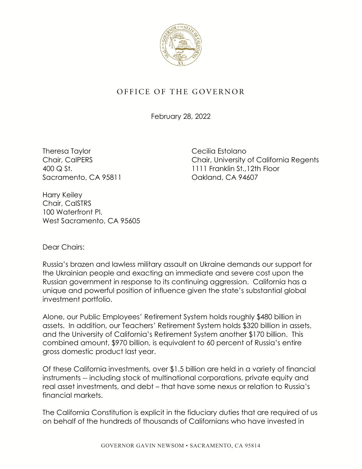

## OFFICE OF THE GOVERNOR

February 28, 2022

Theresa Taylor **Cecilia Estolano** Sacramento, CA 95811 Cassette Calculation CA 94607

Chair, CalPERS Chair, University of California Regents 400 Q St. 1111 Franklin St.,12th Floor

Harry Keiley Chair, CalSTRS 100 Waterfront Pl. West Sacramento, CA 95605

Dear Chairs:

 the Ukrainian people and exacting an immediate and severe cost upon the Russia's brazen and lawless military assault on Ukraine demands our support for Russian government in response to its continuing aggression. California has a unique and powerful position of influence given the state's substantial global investment portfolio.

Alone, our Public Employees' Retirement System holds roughly \$480 billion in assets. In addition, our Teachers' Retirement System holds \$320 billion in assets, and the University of California's Retirement System another \$170 billion. This combined amount, \$970 billion, is equivalent to 60 percent of Russia's entire gross domestic product last year.

Of these California investments, over \$1.5 billion are held in a variety of financial instruments -- including stock of multinational corporations, private equity and real asset investments, and debt – that have some nexus or relation to Russia's financial markets.

 The California Constitution is explicit in the fiduciary duties that are required of us on behalf of the hundreds of thousands of Californians who have invested in